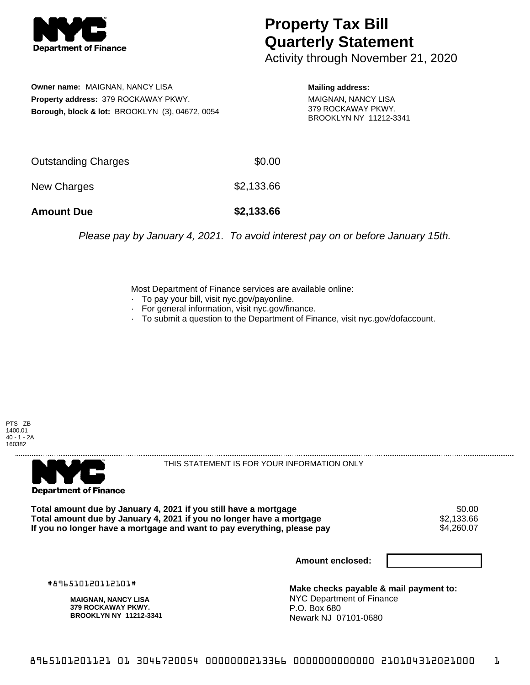

## **Property Tax Bill Quarterly Statement**

Activity through November 21, 2020

**Owner name:** MAIGNAN, NANCY LISA **Property address:** 379 ROCKAWAY PKWY. **Borough, block & lot:** BROOKLYN (3), 04672, 0054

**Mailing address:** MAIGNAN, NANCY LISA 379 ROCKAWAY PKWY. BROOKLYN NY 11212-3341

| Outstanding Charges | \$0.00     |
|---------------------|------------|
| New Charges         | \$2,133.66 |
| <b>Amount Due</b>   | \$2,133.66 |

Please pay by January 4, 2021. To avoid interest pay on or before January 15th.

Most Department of Finance services are available online:

- · To pay your bill, visit nyc.gov/payonline.
- For general information, visit nyc.gov/finance.
- · To submit a question to the Department of Finance, visit nyc.gov/dofaccount.





THIS STATEMENT IS FOR YOUR INFORMATION ONLY

Total amount due by January 4, 2021 if you still have a mortgage \$0.00<br>Total amount due by January 4, 2021 if you no longer have a mortgage \$2.133.66 **Total amount due by January 4, 2021 if you no longer have a mortgage**  $$2,133.66$ **<br>If you no longer have a mortgage and want to pay everything, please pay**  $$4,260.07$ If you no longer have a mortgage and want to pay everything, please pay

**Amount enclosed:**

#896510120112101#

**MAIGNAN, NANCY LISA 379 ROCKAWAY PKWY. BROOKLYN NY 11212-3341**

**Make checks payable & mail payment to:** NYC Department of Finance P.O. Box 680 Newark NJ 07101-0680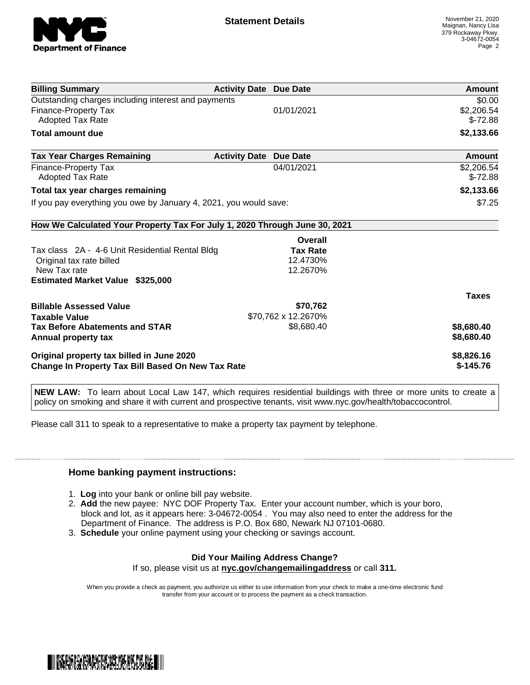

| <b>Billing Summary</b>                                                     | <b>Activity Date Due Date</b> |                     | Amount       |
|----------------------------------------------------------------------------|-------------------------------|---------------------|--------------|
| Outstanding charges including interest and payments                        |                               |                     | \$0.00       |
| <b>Finance-Property Tax</b>                                                |                               | 01/01/2021          | \$2,206.54   |
| Adopted Tax Rate                                                           |                               |                     | $$-72.88$    |
| Total amount due                                                           |                               |                     | \$2,133.66   |
| <b>Tax Year Charges Remaining</b>                                          | <b>Activity Date</b>          | <b>Due Date</b>     | Amount       |
| Finance-Property Tax                                                       |                               | 04/01/2021          | \$2,206.54   |
| Adopted Tax Rate                                                           |                               |                     | $$-72.88$    |
| Total tax year charges remaining                                           |                               |                     | \$2,133.66   |
| If you pay everything you owe by January 4, 2021, you would save:          |                               |                     | \$7.25       |
| How We Calculated Your Property Tax For July 1, 2020 Through June 30, 2021 |                               |                     |              |
|                                                                            |                               | Overall             |              |
| Tax class 2A - 4-6 Unit Residential Rental Bldg                            |                               | <b>Tax Rate</b>     |              |
| Original tax rate billed                                                   |                               | 12.4730%            |              |
| New Tax rate                                                               |                               | 12.2670%            |              |
| <b>Estimated Market Value \$325,000</b>                                    |                               |                     |              |
|                                                                            |                               |                     | <b>Taxes</b> |
| <b>Billable Assessed Value</b>                                             |                               | \$70,762            |              |
| <b>Taxable Value</b>                                                       |                               | \$70,762 x 12.2670% |              |
| <b>Tax Before Abatements and STAR</b>                                      |                               | \$8,680.40          | \$8,680.40   |
| Annual property tax                                                        |                               |                     | \$8,680.40   |
| Original property tax billed in June 2020                                  |                               |                     | \$8,826.16   |
| <b>Change In Property Tax Bill Based On New Tax Rate</b>                   |                               |                     | $$-145.76$   |

**NEW LAW:** To learn about Local Law 147, which requires residential buildings with three or more units to create a policy on smoking and share it with current and prospective tenants, visit www.nyc.gov/health/tobaccocontrol.

Please call 311 to speak to a representative to make a property tax payment by telephone.

## **Home banking payment instructions:**

- 1. **Log** into your bank or online bill pay website.
- 2. **Add** the new payee: NYC DOF Property Tax. Enter your account number, which is your boro, block and lot, as it appears here: 3-04672-0054 . You may also need to enter the address for the Department of Finance. The address is P.O. Box 680, Newark NJ 07101-0680.
- 3. **Schedule** your online payment using your checking or savings account.

## **Did Your Mailing Address Change?**

If so, please visit us at **nyc.gov/changemailingaddress** or call **311.**

When you provide a check as payment, you authorize us either to use information from your check to make a one-time electronic fund transfer from your account or to process the payment as a check transaction.